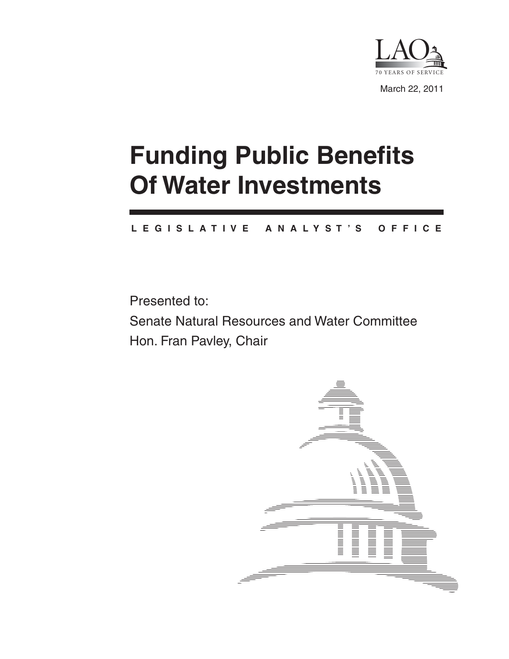

# **Funding Public Benefits Of Water Investments**

#### **L E G I S L A T I V E A N A L Y S T ' S O F F I C E**

Presented to:

Senate Natural Resources and Water Committee Hon. Fran Pavley, Chair

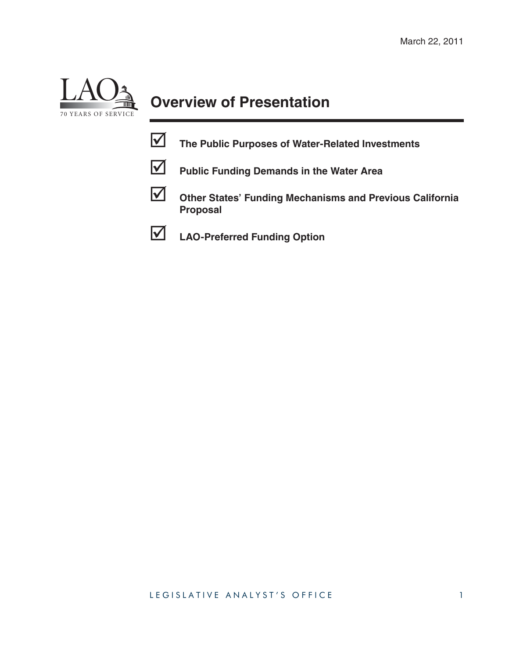

# **Overview of Presentation**

- **The Public Purposes of Water-Related Investments**
- 

**Public Funding Demands in the Water Area**



 **Other States' Funding Mechanisms and Previous California Proposal**

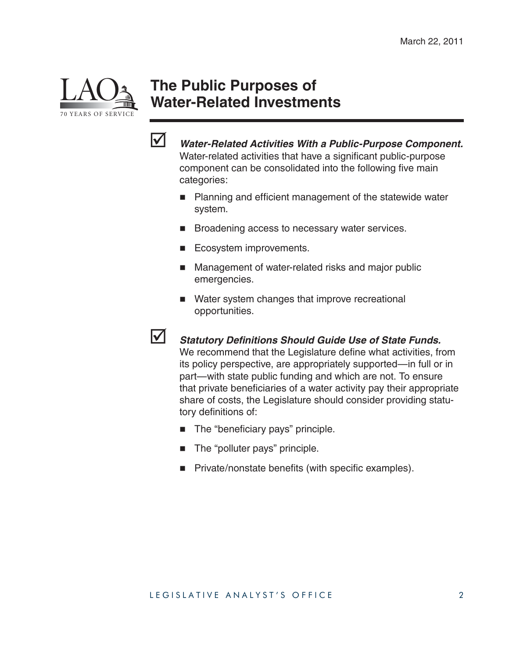

#### **The Public Purposes of Water-Related Investments**



 *Water-Related Activities With a Public-Purpose Component.*  Water-related activities that have a significant public-purpose component can be consolidated into the following five main categories:

- $\blacksquare$  Planning and efficient management of the statewide water system.
- **Broadening access to necessary water services.**
- Ecosystem improvements.
- **Management of water-related risks and major public** emergencies.
- Water system changes that improve recreational opportunities.
- 

**12 Statutory Definitions Should Guide Use of State Funds.** We recommend that the Legislature define what activities, from its policy perspective, are appropriately supported—in full or in part—with state public funding and which are not. To ensure that private beneficiaries of a water activity pay their appropriate share of costs, the Legislature should consider providing statu-

- The "beneficiary pays" principle.
- The "polluter pays" principle.

tory definitions of:

Private/nonstate benefits (with specific examples).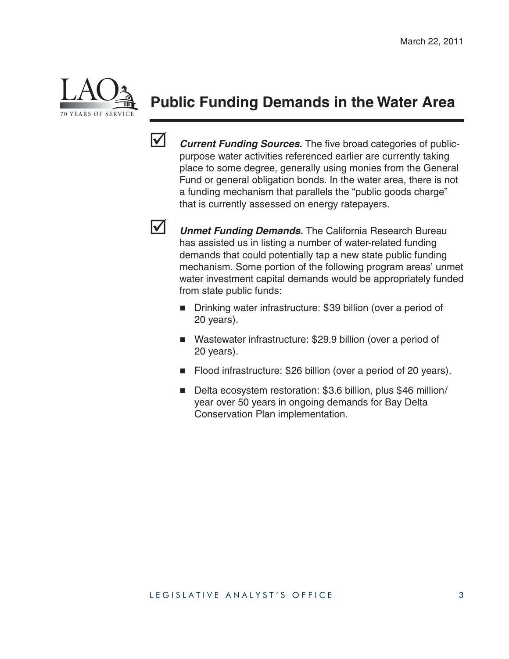

## **Public Funding Demands in the Water Area**



*Current Funding Sources.* The five broad categories of publicpurpose water activities referenced earlier are currently taking place to some degree, generally using monies from the General Fund or general obligation bonds. In the water area, there is not a funding mechanism that parallels the "public goods charge" that is currently assessed on energy ratepayers.



**V** Unmet Funding Demands. The California Research Bureau has assisted us in listing a number of water-related funding demands that could potentially tap a new state public funding mechanism. Some portion of the following program areas' unmet water investment capital demands would be appropriately funded from state public funds:

- Drinking water infrastructure: \$39 billion (over a period of 20 years).
- Wastewater infrastructure: \$29.9 billion (over a period of 20 years).
- Flood infrastructure: \$26 billion (over a period of 20 years).
- Delta ecosystem restoration: \$3.6 billion, plus \$46 million/ year over 50 years in ongoing demands for Bay Delta Conservation Plan implementation.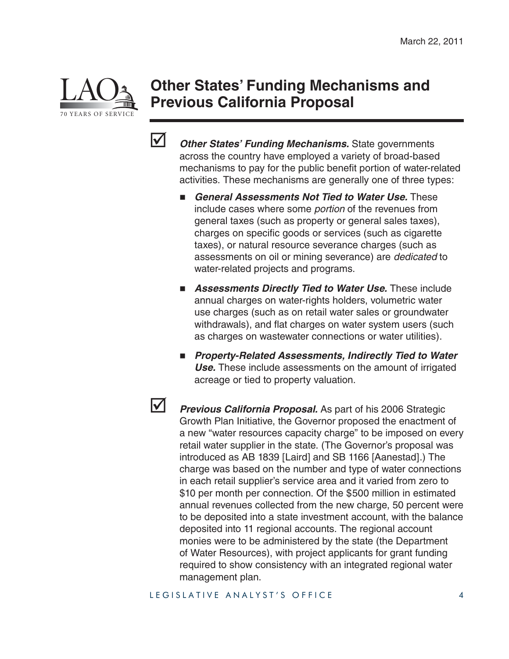

#### **Other States' Funding Mechanisms and Previous California Proposal**



 *Other States' Funding Mechanisms.* State governments across the country have employed a variety of broad-based mechanisms to pay for the public benefit portion of water-related activities. These mechanisms are generally one of three types:

- *General Assessments Not Tied to Water Use.* These include cases where some *portion* of the revenues from general taxes (such as property or general sales taxes), charges on specific goods or services (such as cigarette taxes), or natural resource severance charges (such as assessments on oil or mining severance) are *dedicated* to water-related projects and programs.
- **Assessments Directly Tied to Water Use.** These include annual charges on water-rights holders, volumetric water use charges (such as on retail water sales or groundwater withdrawals), and flat charges on water system users (such as charges on wastewater connections or water utilities).
- Property-Related Assessments, Indirectly Tied to Water *Use.* These include assessments on the amount of irrigated acreage or tied to property valuation.



**1** Previous California Proposal. As part of his 2006 Strategic Growth Plan Initiative, the Governor proposed the enactment of a new "water resources capacity charge" to be imposed on every retail water supplier in the state. (The Governor's proposal was introduced as AB 1839 [Laird] and SB 1166 [Aanestad].) The charge was based on the number and type of water connections in each retail supplier's service area and it varied from zero to \$10 per month per connection. Of the \$500 million in estimated annual revenues collected from the new charge, 50 percent were to be deposited into a state investment account, with the balance deposited into 11 regional accounts. The regional account monies were to be administered by the state (the Department of Water Resources), with project applicants for grant funding required to show consistency with an integrated regional water management plan.

LEGISLATIVE ANALYST'S OFFICE 4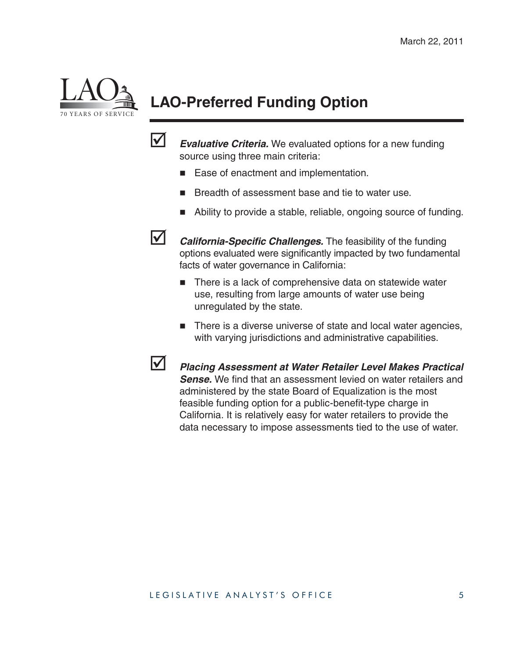

# **LAO-Preferred Funding Option**



*Evaluative Criteria.* We evaluated options for a new funding source using three main criteria:

- Ease of enactment and implementation.
- Breadth of assessment base and tie to water use.
- Ability to provide a stable, reliable, ongoing source of funding.

**M** *California-Specific Challenges.* The feasibility of the funding options evaluated were significantly impacted by two fundamental facts of water governance in California:

- There is a lack of comprehensive data on statewide water use, resulting from large amounts of water use being unregulated by the state.
- There is a diverse universe of state and local water agencies, with varying jurisdictions and administrative capabilities.

 *Placing Assessment at Water Retailer Level Makes Practical*  **Sense.** We find that an assessment levied on water retailers and administered by the state Board of Equalization is the most feasible funding option for a public-benefit-type charge in California. It is relatively easy for water retailers to provide the data necessary to impose assessments tied to the use of water.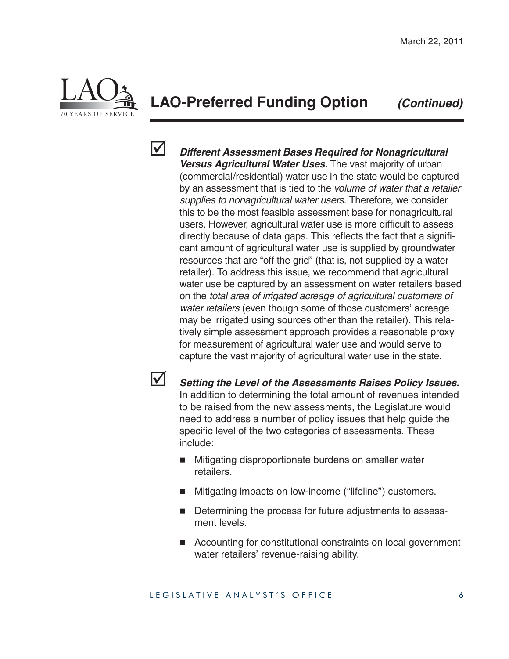

#### **LAO-Preferred Funding Option** *(Continued)*



 *Different Assessment Bases Required for Nonagricultural Versus Agricultural Water Uses.* The vast majority of urban (commercial/residential) water use in the state would be captured by an assessment that is tied to the *volume of water that a retailer supplies to nonagricultural water users*. Therefore, we consider this to be the most feasible assessment base for nonagricultural users. However, agricultural water use is more difficult to assess directly because of data gaps. This reflects the fact that a significant amount of agricultural water use is supplied by groundwater resources that are "off the grid" (that is, not supplied by a water retailer). To address this issue, we recommend that agricultural water use be captured by an assessment on water retailers based on the *total area of irrigated acreage of agricultural customers of water retailers* (even though some of those customers' acreage may be irrigated using sources other than the retailer). This relatively simple assessment approach provides a reasonable proxy for measurement of agricultural water use and would serve to capture the vast majority of agricultural water use in the state.

 *Setting the Level of the Assessments Raises Policy Issues.*  In addition to determining the total amount of revenues intended to be raised from the new assessments, the Legislature would need to address a number of policy issues that help guide the specific level of the two categories of assessments. These include:

- **Mitigating disproportionate burdens on smaller water** retailers.
- Mitigating impacts on low-income ("lifeline") customers.
- Determining the process for future adjustments to assessment levels.
- Accounting for constitutional constraints on local government water retailers' revenue-raising ability.